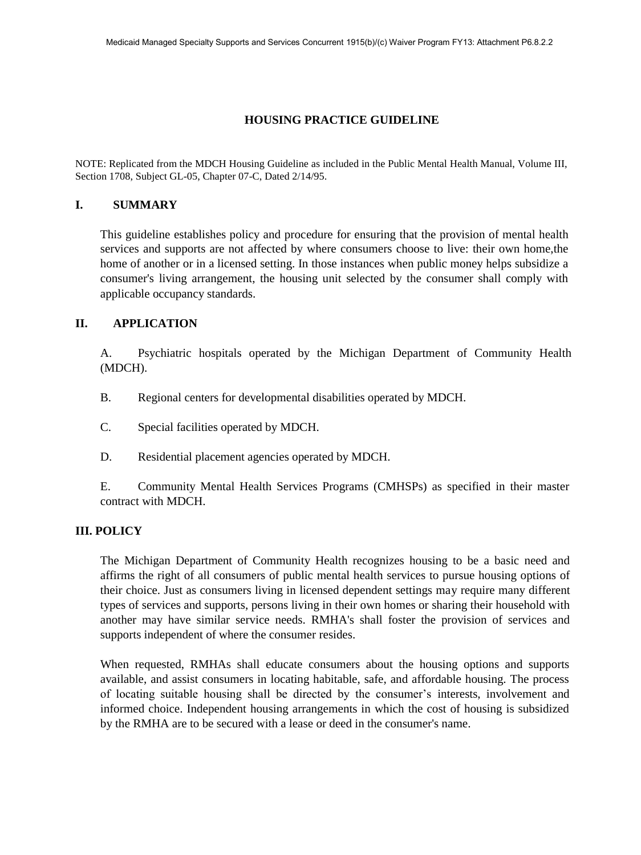## **HOUSING PRACTICE GUIDELINE**

NOTE: Replicated from the MDCH Housing Guideline as included in the Public Mental Health Manual, Volume III, Section 1708, Subject GL-05, Chapter 07-C, Dated 2/14/95.

### **I. SUMMARY**

This guideline establishes policy and procedure for ensuring that the provision of mental health services and supports are not affected by where consumers choose to live: their own home,the home of another or in a licensed setting. In those instances when public money helps subsidize a consumer's living arrangement, the housing unit selected by the consumer shall comply with applicable occupancy standards.

### **II. APPLICATION**

A. Psychiatric hospitals operated by the Michigan Department of Community Health (MDCH).

- B. Regional centers for developmental disabilities operated by MDCH.
- C. Special facilities operated by MDCH.
- D. Residential placement agencies operated by MDCH.

E. Community Mental Health Services Programs (CMHSPs) as specified in their master contract with MDCH.

### **III. POLICY**

The Michigan Department of Community Health recognizes housing to be a basic need and affirms the right of all consumers of public mental health services to pursue housing options of their choice. Just as consumers living in licensed dependent settings may require many different types of services and supports, persons living in their own homes or sharing their household with another may have similar service needs. RMHA's shall foster the provision of services and supports independent of where the consumer resides.

When requested, RMHAs shall educate consumers about the housing options and supports available, and assist consumers in locating habitable, safe, and affordable housing. The process of locating suitable housing shall be directed by the consumer's interests, involvement and informed choice. Independent housing arrangements in which the cost of housing is subsidized by the RMHA are to be secured with a lease or deed in the consumer's name.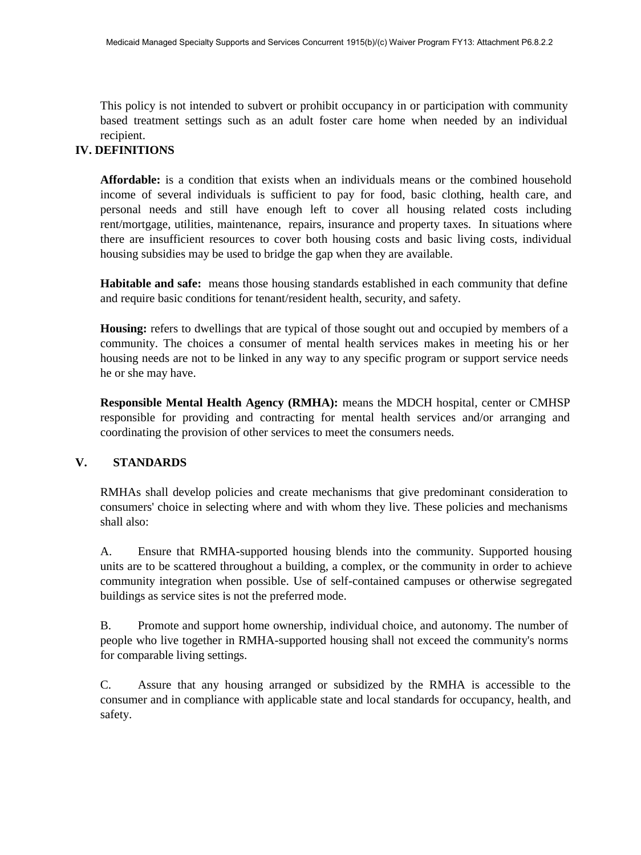This policy is not intended to subvert or prohibit occupancy in or participation with community based treatment settings such as an adult foster care home when needed by an individual recipient.

# **IV. DEFINITIONS**

**Affordable:** is a condition that exists when an individuals means or the combined household income of several individuals is sufficient to pay for food, basic clothing, health care, and personal needs and still have enough left to cover all housing related costs including rent/mortgage, utilities, maintenance, repairs, insurance and property taxes. In situations where there are insufficient resources to cover both housing costs and basic living costs, individual housing subsidies may be used to bridge the gap when they are available.

**Habitable and safe:** means those housing standards established in each community that define and require basic conditions for tenant/resident health, security, and safety.

**Housing:** refers to dwellings that are typical of those sought out and occupied by members of a community. The choices a consumer of mental health services makes in meeting his or her housing needs are not to be linked in any way to any specific program or support service needs he or she may have.

**Responsible Mental Health Agency (RMHA):** means the MDCH hospital, center or CMHSP responsible for providing and contracting for mental health services and/or arranging and coordinating the provision of other services to meet the consumers needs.

## **V. STANDARDS**

RMHAs shall develop policies and create mechanisms that give predominant consideration to consumers' choice in selecting where and with whom they live. These policies and mechanisms shall also:

A. Ensure that RMHA-supported housing blends into the community. Supported housing units are to be scattered throughout a building, a complex, or the community in order to achieve community integration when possible. Use of self-contained campuses or otherwise segregated buildings as service sites is not the preferred mode.

B. Promote and support home ownership, individual choice, and autonomy. The number of people who live together in RMHA-supported housing shall not exceed the community's norms for comparable living settings.

C. Assure that any housing arranged or subsidized by the RMHA is accessible to the consumer and in compliance with applicable state and local standards for occupancy, health, and safety.